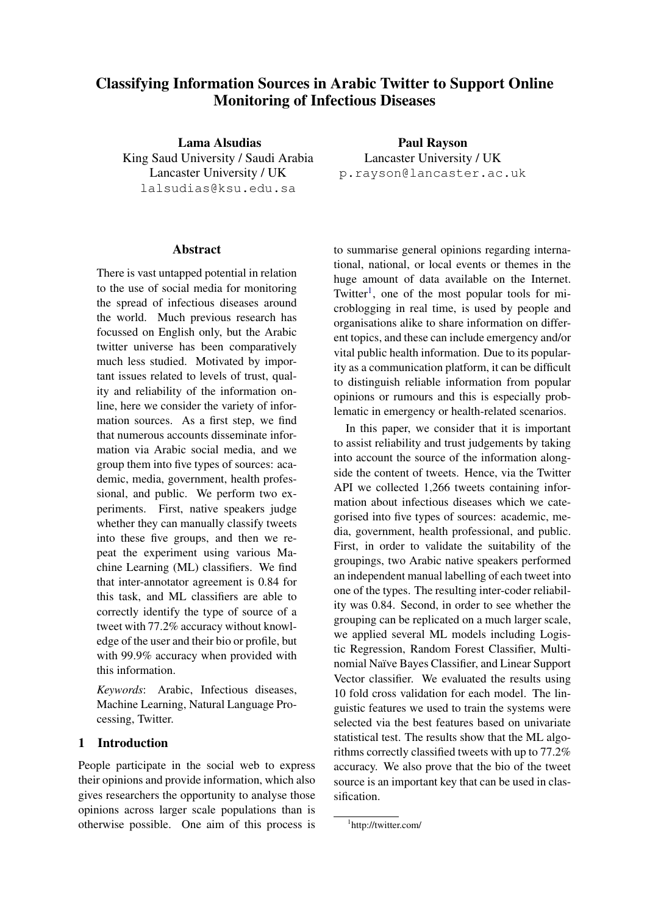# Classifying Information Sources in Arabic Twitter to Support Online Monitoring of Infectious Diseases

Lama Alsudias King Saud University / Saudi Arabia Lancaster University / UK lalsudias@ksu.edu.sa

#### **Abstract**

There is vast untapped potential in relation to the use of social media for monitoring the spread of infectious diseases around the world. Much previous research has focussed on English only, but the Arabic twitter universe has been comparatively much less studied. Motivated by important issues related to levels of trust, quality and reliability of the information online, here we consider the variety of information sources. As a first step, we find that numerous accounts disseminate information via Arabic social media, and we group them into five types of sources: academic, media, government, health professional, and public. We perform two experiments. First, native speakers judge whether they can manually classify tweets into these five groups, and then we repeat the experiment using various Machine Learning (ML) classifiers. We find that inter-annotator agreement is 0.84 for this task, and ML classifiers are able to correctly identify the type of source of a tweet with 77.2% accuracy without knowledge of the user and their bio or profile, but with 99.9% accuracy when provided with this information.

*Keywords*: Arabic, Infectious diseases, Machine Learning, Natural Language Processing, Twitter.

#### 1 Introduction

People participate in the social web to express their opinions and provide information, which also gives researchers the opportunity to analyse those opinions across larger scale populations than is otherwise possible. One aim of this process is

Paul Rayson Lancaster University / UK p.rayson@lancaster.ac.uk

to summarise general opinions regarding international, national, or local events or themes in the huge amount of data available on the Internet. Twitter<sup>[1](#page-0-0)</sup>, one of the most popular tools for microblogging in real time, is used by people and organisations alike to share information on different topics, and these can include emergency and/or vital public health information. Due to its popularity as a communication platform, it can be difficult to distinguish reliable information from popular opinions or rumours and this is especially problematic in emergency or health-related scenarios.

In this paper, we consider that it is important to assist reliability and trust judgements by taking into account the source of the information alongside the content of tweets. Hence, via the Twitter API we collected 1,266 tweets containing information about infectious diseases which we categorised into five types of sources: academic, media, government, health professional, and public. First, in order to validate the suitability of the groupings, two Arabic native speakers performed an independent manual labelling of each tweet into one of the types. The resulting inter-coder reliability was 0.84. Second, in order to see whether the grouping can be replicated on a much larger scale, we applied several ML models including Logistic Regression, Random Forest Classifier, Multinomial Naïve Bayes Classifier, and Linear Support Vector classifier. We evaluated the results using 10 fold cross validation for each model. The linguistic features we used to train the systems were selected via the best features based on univariate statistical test. The results show that the ML algorithms correctly classified tweets with up to 77.2% accuracy. We also prove that the bio of the tweet source is an important key that can be used in classification.

<span id="page-0-0"></span><sup>1</sup> http://twitter.com/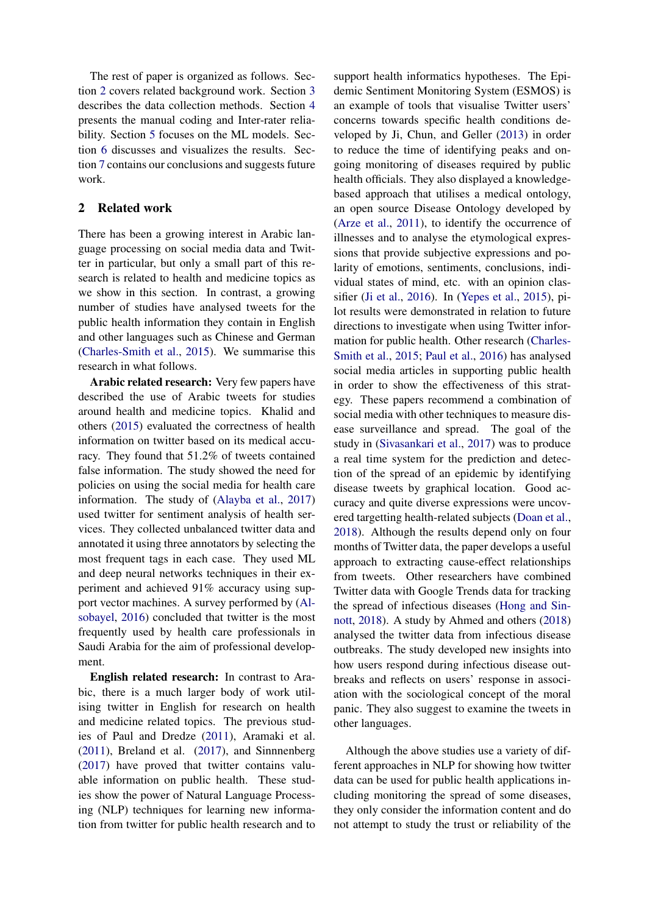The rest of paper is organized as follows. Section [2](#page-1-0) covers related background work. Section [3](#page-2-0) describes the data collection methods. Section [4](#page-3-0) presents the manual coding and Inter-rater reliability. Section [5](#page-3-1) focuses on the ML models. Section [6](#page-4-0) discusses and visualizes the results. Section [7](#page-7-0) contains our conclusions and suggests future work.

## <span id="page-1-0"></span>2 Related work

There has been a growing interest in Arabic language processing on social media data and Twitter in particular, but only a small part of this research is related to health and medicine topics as we show in this section. In contrast, a growing number of studies have analysed tweets for the public health information they contain in English and other languages such as Chinese and German [\(Charles-Smith et al.,](#page-8-0) [2015\)](#page-8-0). We summarise this research in what follows.

Arabic related research: Very few papers have described the use of Arabic tweets for studies around health and medicine topics. Khalid and others [\(2015\)](#page-7-1) evaluated the correctness of health information on twitter based on its medical accuracy. They found that 51.2% of tweets contained false information. The study showed the need for policies on using the social media for health care information. The study of [\(Alayba et al.,](#page-7-2) [2017\)](#page-7-2) used twitter for sentiment analysis of health services. They collected unbalanced twitter data and annotated it using three annotators by selecting the most frequent tags in each case. They used ML and deep neural networks techniques in their experiment and achieved 91% accuracy using support vector machines. A survey performed by [\(Al](#page-7-3)[sobayel,](#page-7-3) [2016\)](#page-7-3) concluded that twitter is the most frequently used by health care professionals in Saudi Arabia for the aim of professional development.

English related research: In contrast to Arabic, there is a much larger body of work utilising twitter in English for research on health and medicine related topics. The previous studies of Paul and Dredze [\(2011\)](#page-8-1), Aramaki et al. [\(2011\)](#page-7-4), Breland et al. [\(2017\)](#page-7-5), and Sinnnenberg [\(2017\)](#page-8-2) have proved that twitter contains valuable information on public health. These studies show the power of Natural Language Processing (NLP) techniques for learning new information from twitter for public health research and to

support health informatics hypotheses. The Epidemic Sentiment Monitoring System (ESMOS) is an example of tools that visualise Twitter users' concerns towards specific health conditions developed by Ji, Chun, and Geller [\(2013\)](#page-8-3) in order to reduce the time of identifying peaks and ongoing monitoring of diseases required by public health officials. They also displayed a knowledgebased approach that utilises a medical ontology, an open source Disease Ontology developed by [\(Arze et al.,](#page-7-6) [2011\)](#page-7-6), to identify the occurrence of illnesses and to analyse the etymological expressions that provide subjective expressions and polarity of emotions, sentiments, conclusions, individual states of mind, etc. with an opinion classifier [\(Ji et al.,](#page-8-4) [2016\)](#page-8-4). In [\(Yepes et al.,](#page-8-5) [2015\)](#page-8-5), pilot results were demonstrated in relation to future directions to investigate when using Twitter information for public health. Other research [\(Charles-](#page-8-0)[Smith et al.,](#page-8-0) [2015;](#page-8-0) [Paul et al.,](#page-8-6) [2016\)](#page-8-6) has analysed social media articles in supporting public health in order to show the effectiveness of this strategy. These papers recommend a combination of social media with other techniques to measure disease surveillance and spread. The goal of the study in [\(Sivasankari et al.,](#page-8-7) [2017\)](#page-8-7) was to produce a real time system for the prediction and detection of the spread of an epidemic by identifying disease tweets by graphical location. Good accuracy and quite diverse expressions were uncovered targetting health-related subjects [\(Doan et al.,](#page-8-8) [2018\)](#page-8-8). Although the results depend only on four months of Twitter data, the paper develops a useful approach to extracting cause-effect relationships from tweets. Other researchers have combined Twitter data with Google Trends data for tracking the spread of infectious diseases [\(Hong and Sin](#page-8-9)[nott,](#page-8-9) [2018\)](#page-8-9). A study by Ahmed and others [\(2018\)](#page-7-7) analysed the twitter data from infectious disease outbreaks. The study developed new insights into how users respond during infectious disease outbreaks and reflects on users' response in association with the sociological concept of the moral panic. They also suggest to examine the tweets in other languages.

Although the above studies use a variety of different approaches in NLP for showing how twitter data can be used for public health applications including monitoring the spread of some diseases, they only consider the information content and do not attempt to study the trust or reliability of the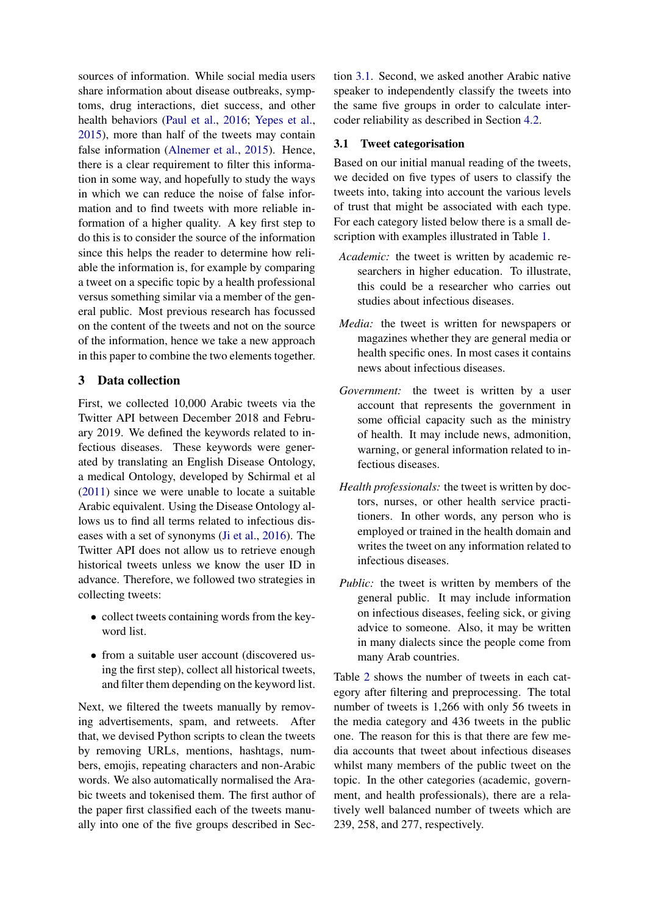sources of information. While social media users share information about disease outbreaks, symptoms, drug interactions, diet success, and other health behaviors [\(Paul et al.,](#page-8-6) [2016;](#page-8-6) [Yepes et al.,](#page-8-5) [2015\)](#page-8-5), more than half of the tweets may contain false information [\(Alnemer et al.,](#page-7-1) [2015\)](#page-7-1). Hence, there is a clear requirement to filter this information in some way, and hopefully to study the ways in which we can reduce the noise of false information and to find tweets with more reliable information of a higher quality. A key first step to do this is to consider the source of the information since this helps the reader to determine how reliable the information is, for example by comparing a tweet on a specific topic by a health professional versus something similar via a member of the general public. Most previous research has focussed on the content of the tweets and not on the source of the information, hence we take a new approach in this paper to combine the two elements together.

# <span id="page-2-0"></span>3 Data collection

First, we collected 10,000 Arabic tweets via the Twitter API between December 2018 and February 2019. We defined the keywords related to infectious diseases. These keywords were generated by translating an English Disease Ontology, a medical Ontology, developed by Schirmal et al [\(2011\)](#page-8-10) since we were unable to locate a suitable Arabic equivalent. Using the Disease Ontology allows us to find all terms related to infectious diseases with a set of synonyms [\(Ji et al.,](#page-8-4) [2016\)](#page-8-4). The Twitter API does not allow us to retrieve enough historical tweets unless we know the user ID in advance. Therefore, we followed two strategies in collecting tweets:

- collect tweets containing words from the keyword list.
- from a suitable user account (discovered using the first step), collect all historical tweets, and filter them depending on the keyword list.

Next, we filtered the tweets manually by removing advertisements, spam, and retweets. After that, we devised Python scripts to clean the tweets by removing URLs, mentions, hashtags, numbers, emojis, repeating characters and non-Arabic words. We also automatically normalised the Arabic tweets and tokenised them. The first author of the paper first classified each of the tweets manually into one of the five groups described in Section [3.1.](#page-2-1) Second, we asked another Arabic native speaker to independently classify the tweets into the same five groups in order to calculate intercoder reliability as described in Section [4.2.](#page-3-2)

#### <span id="page-2-1"></span>3.1 Tweet categorisation

Based on our initial manual reading of the tweets, we decided on five types of users to classify the tweets into, taking into account the various levels of trust that might be associated with each type. For each category listed below there is a small description with examples illustrated in Table [1.](#page-3-3)

- *Academic:* the tweet is written by academic researchers in higher education. To illustrate, this could be a researcher who carries out studies about infectious diseases.
- *Media:* the tweet is written for newspapers or magazines whether they are general media or health specific ones. In most cases it contains news about infectious diseases.
- *Government:* the tweet is written by a user account that represents the government in some official capacity such as the ministry of health. It may include news, admonition, warning, or general information related to infectious diseases.
- *Health professionals:* the tweet is written by doctors, nurses, or other health service practitioners. In other words, any person who is employed or trained in the health domain and writes the tweet on any information related to infectious diseases.
- *Public:* the tweet is written by members of the general public. It may include information on infectious diseases, feeling sick, or giving advice to someone. Also, it may be written in many dialects since the people come from many Arab countries.

Table [2](#page-3-4) shows the number of tweets in each category after filtering and preprocessing. The total number of tweets is 1,266 with only 56 tweets in the media category and 436 tweets in the public one. The reason for this is that there are few media accounts that tweet about infectious diseases whilst many members of the public tweet on the topic. In the other categories (academic, government, and health professionals), there are a relatively well balanced number of tweets which are 239, 258, and 277, respectively.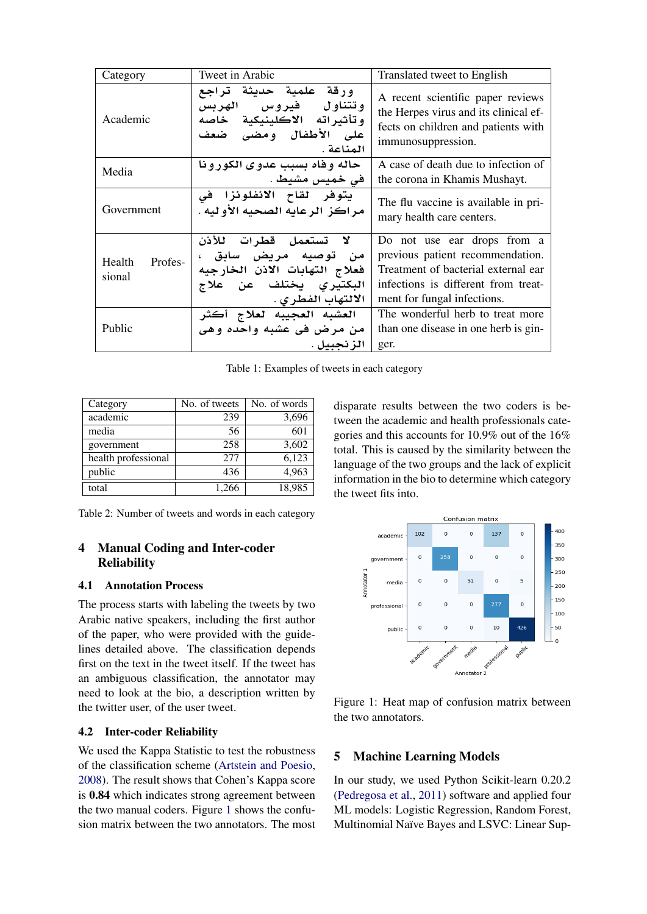<span id="page-3-3"></span>

| Category                    | Tweet in Arabic                                                                                                                | Translated tweet to English                                                                                                                                                  |
|-----------------------------|--------------------------------------------------------------------------------------------------------------------------------|------------------------------------------------------------------------------------------------------------------------------------------------------------------------------|
| Academic                    | ورقة علمية حديثة تراجع<br>وتتناول فيروس الهربس<br>وتأثيراته الاكلينيكية خاصه<br>على الأطفال ومضى ضعف<br>المناعة .              | A recent scientific paper reviews<br>the Herpes virus and its clinical ef-<br>fects on children and patients with<br>immunosuppression.                                      |
| Media                       | حاله و فاه بسبب عدو ی الکور و نا<br>في خميس مشيط .                                                                             | A case of death due to infection of<br>the corona in Khamis Mushayt.                                                                                                         |
| Government                  | يتوفر لقاح الانفلونزا في<br>مر اكز الرعايه الصحيه الأوليه .                                                                    | The flu vaccine is available in pri-<br>mary health care centers.                                                                                                            |
| Profes-<br>Health<br>sional | لا تستعمل قطرات للأذن<br>من توصيه مريض سابق ،<br>فعلاج التهابات الاذن الخارجيه<br>البكتيري يختلف عن علاج<br>الالتهاب الفطر ي . | Do not use ear drops from a<br>previous patient recommendation.<br>Treatment of bacterial external ear<br>infections is different from treat-<br>ment for fungal infections. |
| Public                      | العشبه العجيبه لعلاج أكثر<br>من مرض في عشبه واحده وهي<br>الز نحسل .                                                            | The wonderful herb to treat more<br>than one disease in one herb is gin-<br>ger.                                                                                             |

Table 1: Examples of tweets in each category

<span id="page-3-4"></span>

| Category            | No. of tweets | No. of words |
|---------------------|---------------|--------------|
| academic            | 239           | 3,696        |
| media               | 56            | 601          |
| government          | 258           | 3,602        |
| health professional | 2.77          | 6,123        |
| public              | 436           | 4,963        |
| total               | 1.266         | 18,985       |

Table 2: Number of tweets and words in each category

# <span id="page-3-0"></span>4 Manual Coding and Inter-coder **Reliability**

## 4.1 Annotation Process

The process starts with labeling the tweets by two Arabic native speakers, including the first author of the paper, who were provided with the guidelines detailed above. The classification depends first on the text in the tweet itself. If the tweet has an ambiguous classification, the annotator may need to look at the bio, a description written by the twitter user, of the user tweet.

## <span id="page-3-2"></span>4.2 Inter-coder Reliability

We used the Kappa Statistic to test the robustness of the classification scheme [\(Artstein and Poesio,](#page-7-8) [2008\)](#page-7-8). The result shows that Cohen's Kappa score is 0.84 which indicates strong agreement between the two manual coders. Figure [1](#page-3-5) shows the confusion matrix between the two annotators. The most disparate results between the two coders is between the academic and health professionals categories and this accounts for 10.9% out of the 16% total. This is caused by the similarity between the language of the two groups and the lack of explicit information in the bio to determine which category the tweet fits into.

<span id="page-3-5"></span>

Figure 1: Heat map of confusion matrix between the two annotators.

# <span id="page-3-1"></span>5 Machine Learning Models

In our study, we used Python Scikit-learn 0.20.2 [\(Pedregosa et al.,](#page-8-11) [2011\)](#page-8-11) software and applied four ML models: Logistic Regression, Random Forest, Multinomial Naïve Bayes and LSVC: Linear Sup-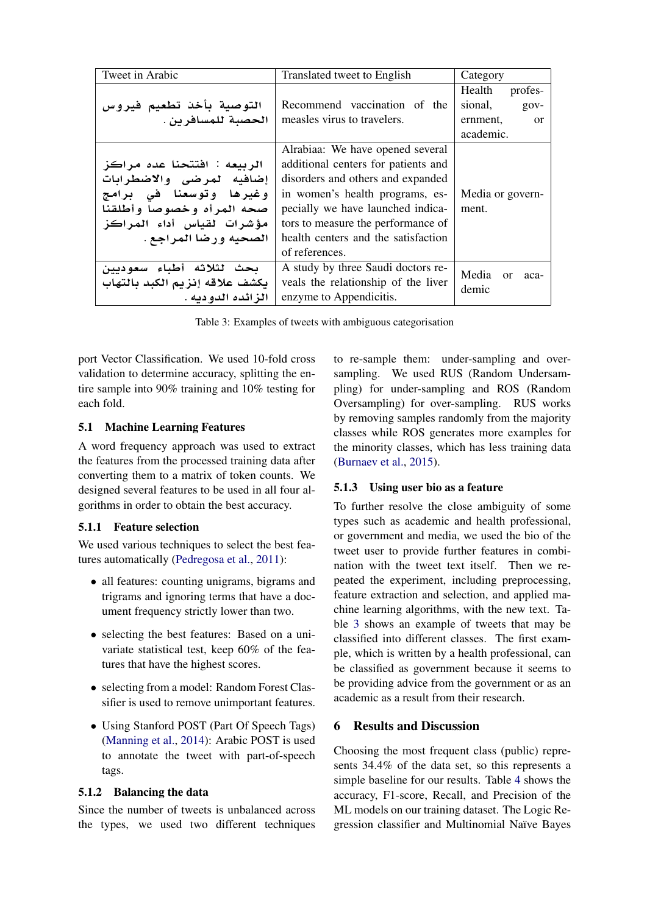<span id="page-4-1"></span>

| Tweet in Arabic                | Translated tweet to English         |                           |
|--------------------------------|-------------------------------------|---------------------------|
|                                |                                     | Health<br>profes-         |
| التوصية بأخذ تطعيم فيروس       | Recommend vaccination of the        | sional,<br>$gov-$         |
| الحصبة للمسافرين .             | measles virus to travelers.         | ernment,<br>or            |
|                                |                                     | academic.                 |
|                                | Alrabiaa: We have opened several    |                           |
| الربيعه : افتتحنا عده مراكز    | additional centers for patients and |                           |
| إضافيه لمرضى والاضطرابات       | disorders and others and expanded   |                           |
| وغيرها وتوسعنا فى برامج        | in women's health programs, es-     | Media or govern-          |
| صحه المرأه وخصوصا وأطلقنا      | pecially we have launched indica-   | ment.                     |
| مؤشرات لقياس أداء المراكز      | tors to measure the performance of  |                           |
| الصحيه ورضا المراجع .          | health centers and the satisfaction |                           |
|                                | of references.                      |                           |
| يحث لثلاثه أطباء سعوديين       | A study by three Saudi doctors re-  | Media<br>$\alpha$<br>aca- |
| يكشف علاقه إنزيم الكبد بالتهاب | veals the relationship of the liver | demic                     |
| الز ائده الدو دبه .            | enzyme to Appendicitis.             |                           |

Table 3: Examples of tweets with ambiguous categorisation

port Vector Classification. We used 10-fold cross validation to determine accuracy, splitting the entire sample into 90% training and 10% testing for each fold.

# 5.1 Machine Learning Features

A word frequency approach was used to extract the features from the processed training data after converting them to a matrix of token counts. We designed several features to be used in all four algorithms in order to obtain the best accuracy.

## 5.1.1 Feature selection

We used various techniques to select the best features automatically [\(Pedregosa et al.,](#page-8-11) [2011\)](#page-8-11):

- all features: counting unigrams, bigrams and trigrams and ignoring terms that have a document frequency strictly lower than two.
- selecting the best features: Based on a univariate statistical test, keep 60% of the features that have the highest scores.
- selecting from a model: Random Forest Classifier is used to remove unimportant features.
- Using Stanford POST (Part Of Speech Tags) [\(Manning et al.,](#page-8-12) [2014\)](#page-8-12): Arabic POST is used to annotate the tweet with part-of-speech tags.

## 5.1.2 Balancing the data

Since the number of tweets is unbalanced across the types, we used two different techniques to re-sample them: under-sampling and oversampling. We used RUS (Random Undersampling) for under-sampling and ROS (Random Oversampling) for over-sampling. RUS works by removing samples randomly from the majority classes while ROS generates more examples for the minority classes, which has less training data [\(Burnaev et al.,](#page-7-9) [2015\)](#page-7-9).

# 5.1.3 Using user bio as a feature

To further resolve the close ambiguity of some types such as academic and health professional, or government and media, we used the bio of the tweet user to provide further features in combination with the tweet text itself. Then we repeated the experiment, including preprocessing, feature extraction and selection, and applied machine learning algorithms, with the new text. Table [3](#page-4-1) shows an example of tweets that may be classified into different classes. The first example, which is written by a health professional, can be classified as government because it seems to be providing advice from the government or as an academic as a result from their research.

# <span id="page-4-0"></span>6 Results and Discussion

Choosing the most frequent class (public) represents 34.4% of the data set, so this represents a simple baseline for our results. Table [4](#page-5-0) shows the accuracy, F1-score, Recall, and Precision of the ML models on our training dataset. The Logic Regression classifier and Multinomial Naïve Bayes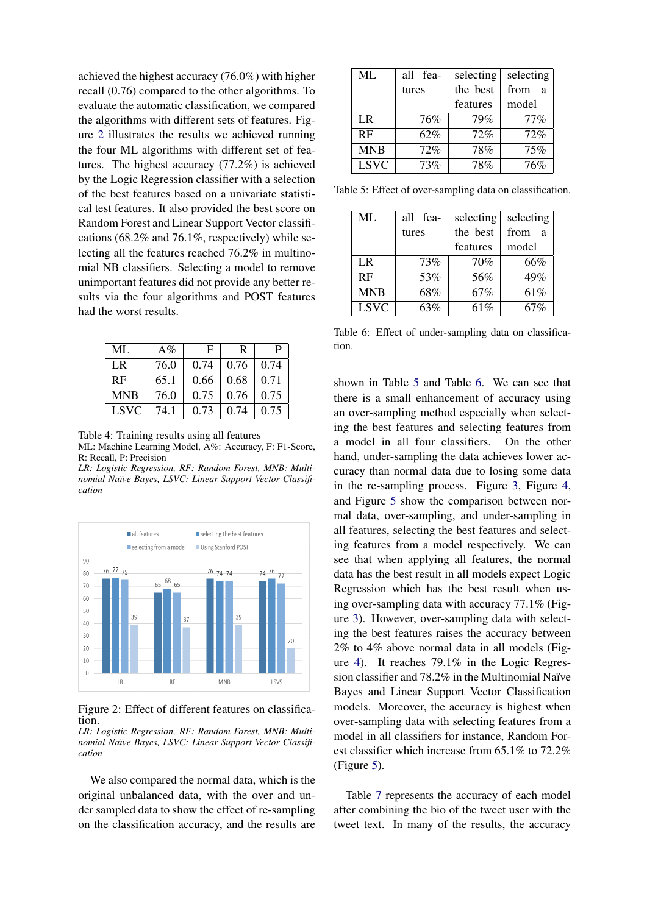achieved the highest accuracy (76.0%) with higher recall (0.76) compared to the other algorithms. To evaluate the automatic classification, we compared the algorithms with different sets of features. Figure [2](#page-5-1) illustrates the results we achieved running the four ML algorithms with different set of features. The highest accuracy (77.2%) is achieved by the Logic Regression classifier with a selection of the best features based on a univariate statistical test features. It also provided the best score on Random Forest and Linear Support Vector classifications (68.2% and 76.1%, respectively) while selecting all the features reached 76.2% in multinomial NB classifiers. Selecting a model to remove unimportant features did not provide any better results via the four algorithms and POST features had the worst results.

<span id="page-5-0"></span>

| ML          | $A\%$ | F.   | R    | P.   |
|-------------|-------|------|------|------|
| LR          | 76.0  | 0.74 | 0.76 | 0.74 |
| RF          | 65.1  | 0.66 | 0.68 | 0.71 |
| <b>MNB</b>  | 76.0  | 0.75 | 0.76 | 0.75 |
| <b>LSVC</b> | 74.1  | 0.73 | 0.74 | 0.75 |

Table 4: Training results using all features

ML: Machine Learning Model, A%: Accuracy, F: F1-Score, R: Recall, P: Precision

*LR: Logistic Regression, RF: Random Forest, MNB: Multinomial Na¨ıve Bayes, LSVC: Linear Support Vector Classification*

<span id="page-5-1"></span>

Figure 2: Effect of different features on classification.

*LR: Logistic Regression, RF: Random Forest, MNB: Multinomial Na¨ıve Bayes, LSVC: Linear Support Vector Classification*

We also compared the normal data, which is the original unbalanced data, with the over and under sampled data to show the effect of re-sampling on the classification accuracy, and the results are

<span id="page-5-2"></span>

| ML          | all<br>-fea | selecting | selecting            |
|-------------|-------------|-----------|----------------------|
|             | tures       | the best  | from<br>$\mathbf{a}$ |
|             |             | features  | model                |
| <b>LR</b>   | 76%         | 79%       | $77\%$               |
| RF          | 62%         | 72%       | 72%                  |
| <b>MNB</b>  | 72%         | 78%       | 75%                  |
| <b>LSVC</b> | 73%         | $78\%$    | 76%                  |

<span id="page-5-3"></span>Table 5: Effect of over-sampling data on classification.

| ML             | all fea- | selecting | selecting              |
|----------------|----------|-----------|------------------------|
|                | tures    | the best  | from<br>$\overline{a}$ |
|                |          | features  | model                  |
| L <sub>R</sub> | 73%      | 70%       | 66%                    |
| RF             | 53%      | 56%       | 49%                    |
| <b>MNB</b>     | 68%      | 67%       | 61%                    |
| <b>LSVC</b>    | 63%      | 61%       | 67%                    |

Table 6: Effect of under-sampling data on classification.

shown in Table [5](#page-5-2) and Table [6.](#page-5-3) We can see that there is a small enhancement of accuracy using an over-sampling method especially when selecting the best features and selecting features from a model in all four classifiers. On the other hand, under-sampling the data achieves lower accuracy than normal data due to losing some data in the re-sampling process. Figure [3,](#page-6-0) Figure [4,](#page-6-1) and Figure [5](#page-6-2) show the comparison between normal data, over-sampling, and under-sampling in all features, selecting the best features and selecting features from a model respectively. We can see that when applying all features, the normal data has the best result in all models expect Logic Regression which has the best result when using over-sampling data with accuracy 77.1% (Figure [3\)](#page-6-0). However, over-sampling data with selecting the best features raises the accuracy between 2% to 4% above normal data in all models (Figure [4\)](#page-6-1). It reaches 79.1% in the Logic Regression classifier and 78.2% in the Multinomial Naïve Bayes and Linear Support Vector Classification models. Moreover, the accuracy is highest when over-sampling data with selecting features from a model in all classifiers for instance, Random Forest classifier which increase from 65.1% to 72.2% (Figure [5\)](#page-6-2).

Table [7](#page-6-3) represents the accuracy of each model after combining the bio of the tweet user with the tweet text. In many of the results, the accuracy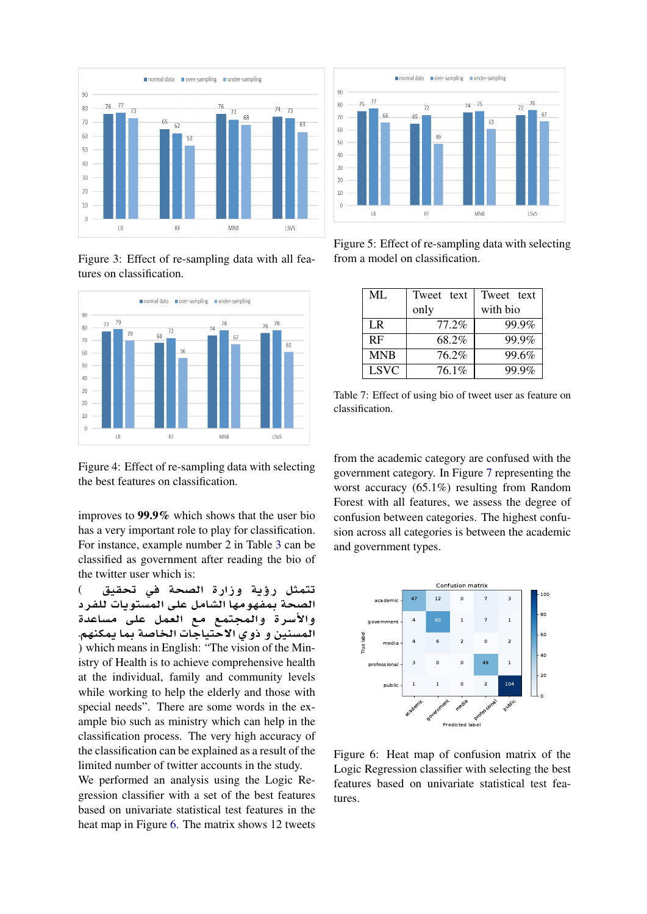<span id="page-6-0"></span>

Figure 3: Effect of re-sampling data with all features on classification.

<span id="page-6-1"></span>

Figure 4: Effect of re-sampling data with selecting the best features on classification.

improves to 99.9% which shows that the user bio has a very important role to play for classification. For instance, example number 2 in Table [3](#page-4-1) can be classified as government after reading the bio of the twitter user which is:

تتمثل رؤية وزارة الصحة ف*ي* تحقيق ) الصحة بمفهومها الشامل على المستويات للفرد والأسرة والمجتمع مع العمل عل*ى* مساعدة المسنين و ذو ى الاحتياجات الخاصة بما يمكنهم. ) which means in English: "The vision of the Ministry of Health is to achieve comprehensive health at the individual, family and community levels while working to help the elderly and those with special needs". There are some words in the example bio such as ministry which can help in the classification process. The very high accuracy of the classification can be explained as a result of the limited number of twitter accounts in the study.

We performed an analysis using the Logic Regression classifier with a set of the best features based on univariate statistical test features in the heat map in Figure [6.](#page-6-4) The matrix shows 12 tweets

<span id="page-6-2"></span>

Figure 5: Effect of re-sampling data with selecting from a model on classification.

<span id="page-6-3"></span>

| ML          | Tweet text | Tweet text |
|-------------|------------|------------|
|             | only       | with bio   |
| LR          | 77.2%      | 99.9%      |
| RF          | 68.2%      | 99.9%      |
| <b>MNB</b>  | 76.2%      | 99.6%      |
| <b>LSVC</b> | 76.1%      | 99.9%      |

Table 7: Effect of using bio of tweet user as feature on classification.

from the academic category are confused with the government category. In Figure [7](#page-7-10) representing the worst accuracy (65.1%) resulting from Random Forest with all features, we assess the degree of confusion between categories. The highest confusion across all categories is between the academic and government types.

<span id="page-6-4"></span>

Figure 6: Heat map of confusion matrix of the Logic Regression classifier with selecting the best features based on univariate statistical test features.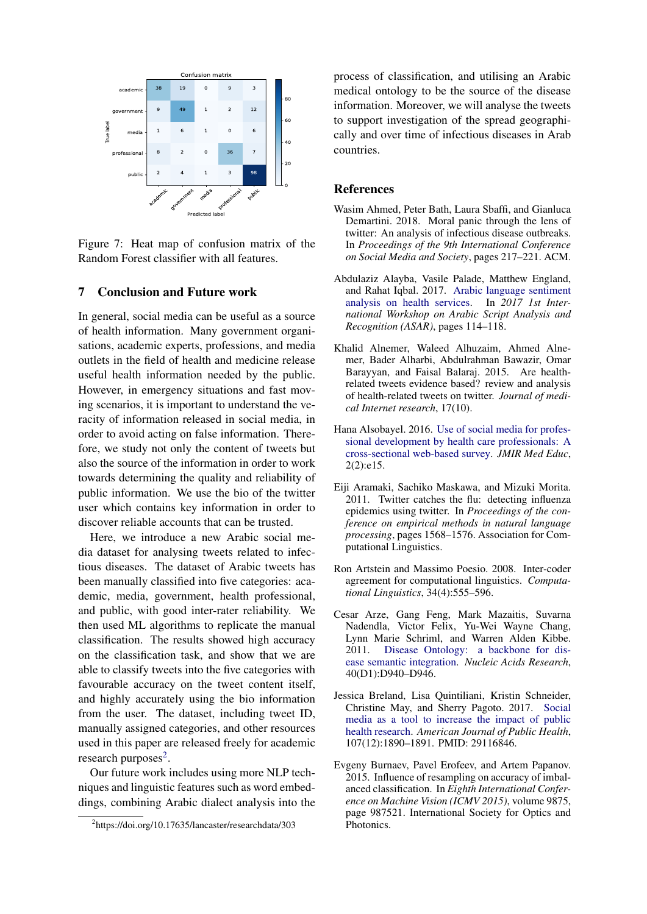<span id="page-7-10"></span>

Figure 7: Heat map of confusion matrix of the Random Forest classifier with all features.

### <span id="page-7-0"></span>7 Conclusion and Future work

In general, social media can be useful as a source of health information. Many government organisations, academic experts, professions, and media outlets in the field of health and medicine release useful health information needed by the public. However, in emergency situations and fast moving scenarios, it is important to understand the veracity of information released in social media, in order to avoid acting on false information. Therefore, we study not only the content of tweets but also the source of the information in order to work towards determining the quality and reliability of public information. We use the bio of the twitter user which contains key information in order to discover reliable accounts that can be trusted.

Here, we introduce a new Arabic social media dataset for analysing tweets related to infectious diseases. The dataset of Arabic tweets has been manually classified into five categories: academic, media, government, health professional, and public, with good inter-rater reliability. We then used ML algorithms to replicate the manual classification. The results showed high accuracy on the classification task, and show that we are able to classify tweets into the five categories with favourable accuracy on the tweet content itself, and highly accurately using the bio information from the user. The dataset, including tweet ID, manually assigned categories, and other resources used in this paper are released freely for academic research purposes $2$ .

Our future work includes using more NLP techniques and linguistic features such as word embeddings, combining Arabic dialect analysis into the process of classification, and utilising an Arabic medical ontology to be the source of the disease information. Moreover, we will analyse the tweets to support investigation of the spread geographically and over time of infectious diseases in Arab countries.

#### **References**

- <span id="page-7-7"></span>Wasim Ahmed, Peter Bath, Laura Sbaffi, and Gianluca Demartini. 2018. Moral panic through the lens of twitter: An analysis of infectious disease outbreaks. In *Proceedings of the 9th International Conference on Social Media and Society*, pages 217–221. ACM.
- <span id="page-7-2"></span>Abdulaziz Alayba, Vasile Palade, Matthew England, and Rahat Iqbal. 2017. [Arabic language sentiment](https://doi.org/10.1109/ASAR.2017.8067771) [analysis on health services.](https://doi.org/10.1109/ASAR.2017.8067771) In *2017 1st International Workshop on Arabic Script Analysis and Recognition (ASAR)*, pages 114–118.
- <span id="page-7-1"></span>Khalid Alnemer, Waleed Alhuzaim, Ahmed Alnemer, Bader Alharbi, Abdulrahman Bawazir, Omar Barayyan, and Faisal Balaraj. 2015. Are healthrelated tweets evidence based? review and analysis of health-related tweets on twitter. *Journal of medical Internet research*, 17(10).
- <span id="page-7-3"></span>Hana Alsobayel. 2016. [Use of social media for profes](https://doi.org/10.2196/mededu.6232)[sional development by health care professionals: A](https://doi.org/10.2196/mededu.6232) [cross-sectional web-based survey.](https://doi.org/10.2196/mededu.6232) *JMIR Med Educ*, 2(2):e15.
- <span id="page-7-4"></span>Eiji Aramaki, Sachiko Maskawa, and Mizuki Morita. 2011. Twitter catches the flu: detecting influenza epidemics using twitter. In *Proceedings of the conference on empirical methods in natural language processing*, pages 1568–1576. Association for Computational Linguistics.
- <span id="page-7-8"></span>Ron Artstein and Massimo Poesio. 2008. Inter-coder agreement for computational linguistics. *Computational Linguistics*, 34(4):555–596.
- <span id="page-7-6"></span>Cesar Arze, Gang Feng, Mark Mazaitis, Suvarna Nadendla, Victor Felix, Yu-Wei Wayne Chang, Lynn Marie Schriml, and Warren Alden Kibbe. 2011. [Disease Ontology: a backbone for dis](https://doi.org/10.1093/nar/gkr972)[ease semantic integration.](https://doi.org/10.1093/nar/gkr972) *Nucleic Acids Research*, 40(D1):D940–D946.
- <span id="page-7-5"></span>Jessica Breland, Lisa Quintiliani, Kristin Schneider, Christine May, and Sherry Pagoto. 2017. [Social](https://doi.org/10.2105/AJPH.2017.304098) [media as a tool to increase the impact of public](https://doi.org/10.2105/AJPH.2017.304098) [health research.](https://doi.org/10.2105/AJPH.2017.304098) *American Journal of Public Health*, 107(12):1890–1891. PMID: 29116846.
- <span id="page-7-9"></span>Evgeny Burnaev, Pavel Erofeev, and Artem Papanov. 2015. Influence of resampling on accuracy of imbalanced classification. In *Eighth International Conference on Machine Vision (ICMV 2015)*, volume 9875, page 987521. International Society for Optics and Photonics.

<span id="page-7-11"></span><sup>2</sup> https://doi.org/10.17635/lancaster/researchdata/303